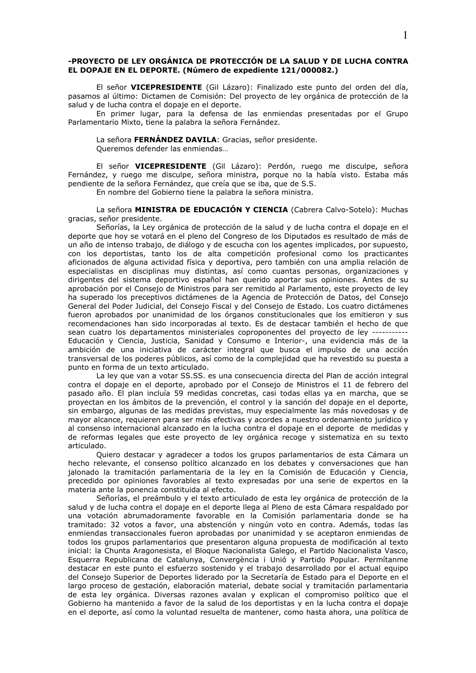# -PROYECTO DE LEY ORGÁNICA DE PROTECCIÓN DE LA SALUD Y DE LUCHA CONTRA EL DOPAJE EN EL DEPORTE. (Número de expediente 121/000082.)

El señor VICEPRESIDENTE (Gil Lázaro): Finalizado este punto del orden del día, pasamos al último: Dictamen de Comisión: Del proyecto de ley orgánica de protección de la salud y de lucha contra el dopaje en el deporte.

En primer lugar, para la defensa de las enmiendas presentadas por el Grupo Parlamentario Mixto, tiene la palabra la señora Fernández.

#### La señora FERNÁNDEZ DAVILA: Gracias, señor presidente.

Queremos defender las enmiendas...

El señor VICEPRESIDENTE (Gil Lázaro): Perdón, ruego me disculpe, señora Fernández, y ruego me disculpe, señora ministra, porque no la había visto. Estaba más pendiente de la señora Fernández, que creía que se iba, que de S.S.

En nombre del Gobierno tiene la palabra la señora ministra.

La señora MINISTRA DE EDUCACIÓN Y CIENCIA (Cabrera Calvo-Sotelo): Muchas gracias, señor presidente.

Señorías, la Ley orgánica de protección de la salud y de lucha contra el dopaje en el deporte que hoy se votará en el pleno del Congreso de los Diputados es resultado de más de un año de intenso trabajo, de diálogo y de escucha con los agentes implicados, por supuesto, con los deportistas, tanto los de alta competición profesional como los practicantes aficionados de alguna actividad física y deportiva, pero también con una amplia relación de especialistas en disciplinas muy distintas, así como cuantas personas, organizaciones y dirigentes del sistema deportivo español han querido aportar sus opiniones. Antes de su aprobación por el Consejo de Ministros para ser remitido al Parlamento, este proyecto de ley ha superado los preceptivos dictámenes de la Agencia de Protección de Datos, del Consejo General del Poder Judicial, del Consejo Fiscal y del Consejo de Estado. Los cuatro dictámenes fueron aprobados por unanimidad de los órganos constitucionales que los emitieron y sus recomendaciones han sido incorporadas al texto. Es de destacar también el hecho de que sean cuatro los departamentos ministeriales coproponentes del proyecto de ley --------Educación y Ciencia, Justicia, Sanidad y Consumo e Interior-, una evidencia más de la ambición de una iniciativa de carácter integral que busca el impulso de una acción transversal de los poderes públicos, así como de la complejidad que ha revestido su puesta a punto en forma de un texto articulado.

La ley que van a votar SS.SS, es una consecuencia directa del Plan de acción integral contra el dopaje en el deporte, aprobado por el Consejo de Ministros el 11 de febrero del pasado año. El plan incluía 59 medidas concretas, casi todas ellas ya en marcha, que se proyectan en los ámbitos de la prevención, el control y la sanción del dopaje en el deporte, sin embargo, algunas de las medidas previstas, muy especialmente las más novedosas y de mayor alcance, requieren para ser más efectivas y acordes a nuestro ordenamiento jurídico y al consenso internacional alcanzado en la lucha contra el dopaje en el deporte de medidas y de reformas legales que este proyecto de ley orgánica recoge y sistematiza en su texto articulado.

Quiero destacar y agradecer a todos los grupos parlamentarios de esta Cámara un hecho relevante, el consenso político alcanzado en los debates y conversaciones que han jalonado la tramitación parlamentaria de la ley en la Comisión de Educación y Ciencia, precedido por opiniones favorables al texto expresadas por una serie de expertos en la materia ante la ponencia constituida al efecto.

Señorías, el preámbulo y el texto articulado de esta ley orgánica de protección de la salud y de lucha contra el dopaje en el deporte llega al Pleno de esta Cámara respaldado por una votación abrumadoramente favorable en la Comisión parlamentaria donde se ha tramitado: 32 votos a favor, una abstención y ningún voto en contra. Además, todas las enmiendas transaccionales fueron aprobadas por unanimidad y se aceptaron enmiendas de todos los grupos parlamentarios que presentaron alguna propuesta de modificación al texto inicial: la Chunta Aragonesista, el Bloque Nacionalista Galego, el Partido Nacionalista Vasco, Esquerra Republicana de Catalunya, Convergència i Unió y Partido Popular. Permítanme destacar en este punto el esfuerzo sostenido y el trabajo desarrollado por el actual equipo del Consejo Superior de Deportes liderado por la Secretaría de Estado para el Deporte en el largo proceso de gestación, elaboración material, debate social y tramitación parlamentaria de esta ley orgánica. Diversas razones avalan y explican el compromiso político que el Gobierno ha mantenido a favor de la salud de los deportistas y en la lucha contra el dopaje en el deporte, así como la voluntad resuelta de mantener, como hasta ahora, una política de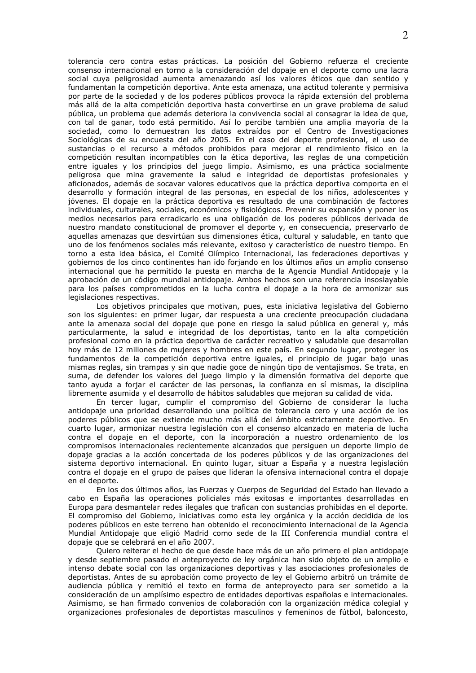tolerancia cero contra estas prácticas. La posición del Gobierno refuerza el creciente consenso internacional en torno a la consideración del dopaje en el deporte como una lacra social cuya peligrosidad aumenta amenazando así los valores éticos que dan sentido v fundamentan la competición deportiva. Ante esta amenaza, una actitud tolerante y permisiva por parte de la sociedad y de los poderes públicos provoca la rápida extensión del problema más allá de la alta competición deportiva hasta convertirse en un grave problema de salud pública, un problema que además deteriora la convivencia social al consagrar la idea de que, con tal de ganar, todo está permitido. Así lo percibe también una amplia mayoría de la sociedad, como lo demuestran los datos extraídos por el Centro de Investigaciones Sociológicas de su encuesta del año 2005. En el caso del deporte profesional, el uso de sustancias o el recurso a métodos prohibidos para mejorar el rendimiento físico en la competición resultan incompatibles con la ética deportiva, las reglas de una competición entre iguales y los principios del juego limpio. Asimismo, es una práctica socialmente peligrosa que mina gravemente la salud e integridad de deportistas profesionales y aficionados, además de socavar valores educativos que la práctica deportiva comporta en el desarrollo y formación integral de las personas, en especial de los niños, adolescentes y jóvenes. El dopaje en la práctica deportiva es resultado de una combinación de factores individuales, culturales, sociales, económicos y fisiológicos. Prevenir su expansión y poner los medios necesarios para erradicarlo es una obligación de los poderes públicos derivada de nuestro mandato constitucional de promover el deporte y, en consecuencia, preservarlo de aquellas amenazas que desvirtúan sus dimensiones ética, cultural y saludable, en tanto que uno de los fenómenos sociales más relevante, exitoso y característico de nuestro tiempo. En torno a esta idea básica, el Comité Olímpico Internacional, las federaciones deportivas y gobiernos de los cinco continentes han ido foriando en los últimos años un amplio consenso internacional que ha permitido la puesta en marcha de la Agencia Mundial Antidopaje y la aprobación de un código mundial antidopaje. Ambos hechos son una referencia insoslayable para los países comprometidos en la lucha contra el dopaje a la hora de armonizar sus legislaciones respectivas.

Los objetivos principales que motivan, pues, esta iniciativa legislativa del Gobierno son los siguientes: en primer lugar, dar respuesta a una creciente preocupación ciudadana ante la amenaza social del dopaje que pone en riesgo la salud pública en general y, más particularmente, la salud e integridad de los deportistas, tanto en la alta competición profesional como en la práctica deportiva de carácter recreativo y saludable que desarrollan hoy más de 12 millones de mujeres y hombres en este país. En segundo lugar, proteger los fundamentos de la competición deportiva entre iguales, el principio de jugar bajo unas mismas reglas, sin trampas y sin que nadie goce de ningún tipo de ventajismos. Se trata, en suma, de defender los valores del juego limpio y la dimensión formativa del deporte que tanto ayuda a forjar el carácter de las personas, la confianza en sí mismas, la disciplina libremente asumida y el desarrollo de hábitos saludables que mejoran su calidad de vida.

En tercer lugar, cumplir el compromiso del Gobierno de considerar la lucha antidopaje una prioridad desarrollando una política de tolerancia cero y una acción de los poderes públicos que se extiende mucho más allá del ámbito estrictamente deportivo. En cuarto lugar, armonizar nuestra legislación con el consenso alcanzado en materia de lucha contra el dopaje en el deporte, con la incorporación a nuestro ordenamiento de los compromisos internacionales recientemente alcanzados que persiguen un deporte limpio de dopaje gracias a la acción concertada de los poderes públicos y de las organizaciones del sistema deportivo internacional. En quinto lugar, situar a España y a nuestra legislación contra el dopaje en el grupo de países que lideran la ofensiva internacional contra el dopaje en el deporte.

En los dos últimos años, las Fuerzas y Cuerpos de Seguridad del Estado han llevado a cabo en España las operaciones policiales más exitosas e importantes desarrolladas en Europa para desmantelar redes ilegales que trafican con sustancias prohibidas en el deporte. El compromiso del Gobierno, iniciativas como esta ley orgánica y la acción decidida de los poderes públicos en este terreno han obtenido el reconocimiento internacional de la Agencia Mundial Antidopaje que eligió Madrid como sede de la III Conferencia mundial contra el dopaje que se celebrará en el año 2007.

Quiero reiterar el hecho de que desde hace más de un año primero el plan antidopaje y desde septiembre pasado el anteproyecto de ley orgánica han sido objeto de un amplio e intenso debate social con las organizaciones deportivas y las asociaciones profesionales de deportistas. Antes de su aprobación como proyecto de ley el Gobierno arbitró un trámite de audiencia pública y remitió el texto en forma de anteproyecto para ser sometido a la consideración de un amplísimo espectro de entidades deportivas españolas e internacionales. Asimismo, se han firmado convenios de colaboración con la organización médica colegial y organizaciones profesionales de deportistas masculinos y femeninos de fútbol, baloncesto,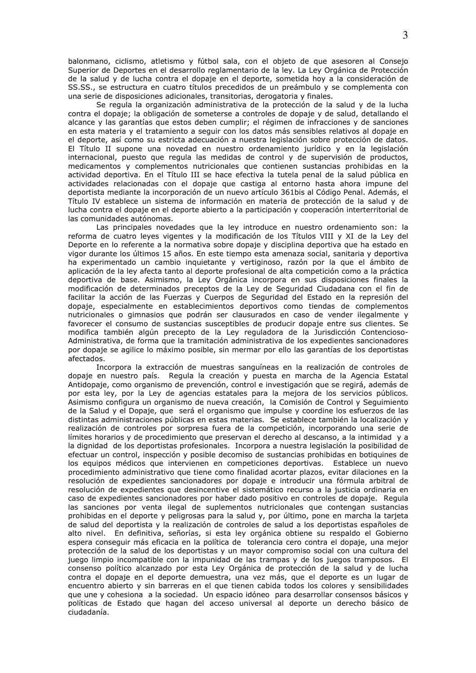balonmano, ciclismo, atletismo y fútbol sala, con el objeto de que asesoren al Consejo Superior de Deportes en el desarrollo reglamentario de la ley. La Ley Orgánica de Protección de la salud y de lucha contra el dopaje en el deporte, sometida hoy a la consideración de SS.SS., se estructura en cuatro títulos precedidos de un preámbulo y se complementa con una serie de disposiciones adicionales, transitorias, derogatoria y finales.

Se regula la organización administrativa de la protección de la salud y de la lucha contra el dopaje; la obligación de someterse a controles de dopaje y de salud, detallando el alcance y las garantías que estos deben cumplir; el régimen de infracciones y de sanciones en esta materia y el tratamiento a seguir con los datos más sensibles relativos al dopaje en el deporte, así como su estricta adecuación a nuestra legislación sobre protección de datos. El Título II supone una novedad en nuestro ordenamiento jurídico y en la legislación internacional, puesto que regula las medidas de control y de supervisión de productos, medicamentos y complementos nutricionales que contienen sustancias prohibidas en la actividad deportiva. En el Título III se hace efectiva la tutela penal de la salud pública en actividades relacionadas con el dopaje que castiga al entorno hasta ahora impune del deportista mediante la incorporación de un nuevo artículo 361bis al Código Penal. Además, el Título IV establece un sistema de información en materia de protección de la salud y de lucha contra el dopaje en el deporte abierto a la participación y cooperación interterritorial de las comunidades autónomas.

Las principales novedades que la ley introduce en nuestro ordenamiento son: la reforma de cuatro leyes vigentes y la modificación de los Títulos VIII y XI de la Ley del Deporte en lo referente a la normativa sobre dopaje y disciplina deportiva que ha estado en vigor durante los últimos 15 años. En este tiempo esta amenaza social, sanitaria y deportiva ha experimentado un cambio inquietante y vertiginoso, razón por la que el ámbito de aplicación de la ley afecta tanto al deporte profesional de alta competición como a la práctica deportiva de base. Asimismo, la Ley Orgánica incorpora en sus disposiciones finales la modificación de determinados preceptos de la Ley de Seguridad Ciudadana con el fin de facilitar la acción de las Fuerzas y Cuerpos de Seguridad del Estado en la represión del dopaje, especialmente en establecimientos deportivos como tiendas de complementos nutricionales o gimnasios que podrán ser clausurados en caso de vender ilegalmente y favorecer el consumo de sustancias susceptibles de producir dopaje entre sus clientes. Se modifica también algún precepto de la Ley reguladora de la Jurisdicción Contencioso-Administrativa, de forma que la tramitación administrativa de los expedientes sancionadores por dopaje se agilice lo máximo posible, sin mermar por ello las garantías de los deportistas afectados.

Incorpora la extracción de muestras sanguíneas en la realización de controles de dopaje en nuestro país. Regula la creación y puesta en marcha de la Agencia Estatal Antidopaje, como organismo de prevención, control e investigación que se regirá, además de por esta ley, por la Ley de agencias estatales para la mejora de los servicios públicos. Asimismo configura un organismo de nueva creación, la Comisión de Control y Seguimiento de la Salud y el Dopaje, que será el organismo que impulse y coordine los esfuerzos de las distintas administraciones públicas en estas materias. Se establece también la localización y realización de controles por sorpresa fuera de la competición, incorporando una serie de límites horarios y de procedimiento que preservan el derecho al descanso, a la intimidad y a la dignidad de los deportistas profesionales. Incorpora a nuestra legislación la posibilidad de efectuar un control, inspección y posible decomiso de sustancias prohibidas en botiguines de los equipos médicos que intervienen en competiciones deportivas. Establece un nuevo procedimiento administrativo que tiene como finalidad acortar plazos, evitar dilaciones en la resolución de expedientes sancionadores por dopaje e introducir una fórmula arbitral de resolución de expedientes que desincentive el sistemático recurso a la justicia ordinaria en caso de expedientes sancionadores por haber dado positivo en controles de dopaje. Regula las sanciones por venta ilegal de suplementos nutricionales que contengan sustancias prohibidas en el deporte y peligrosas para la salud y, por último, pone en marcha la tarjeta de salud del deportista y la realización de controles de salud a los deportistas españoles de alto nivel. En definitiva, señorías, si esta ley orgánica obtiene su respaldo el Gobierno espera conseguir más eficacia en la política de tolerancia cero contra el dopaje, una mejor protección de la salud de los deportistas y un mayor compromiso social con una cultura del juego limpio incompatible con la impunidad de las trampas y de los juegos tramposos. El consenso político alcanzado por esta Ley Orgánica de protección de la salud y de lucha contra el dopaje en el deporte demuestra, una vez más, que el deporte es un lugar de encuentro abierto y sin barreras en el que tienen cabida todos los colores y sensibilidades que une y cohesiona a la sociedad. Un espacio idóneo para desarrollar consensos básicos y políticas de Estado que hagan del acceso universal al deporte un derecho básico de ciudadanía.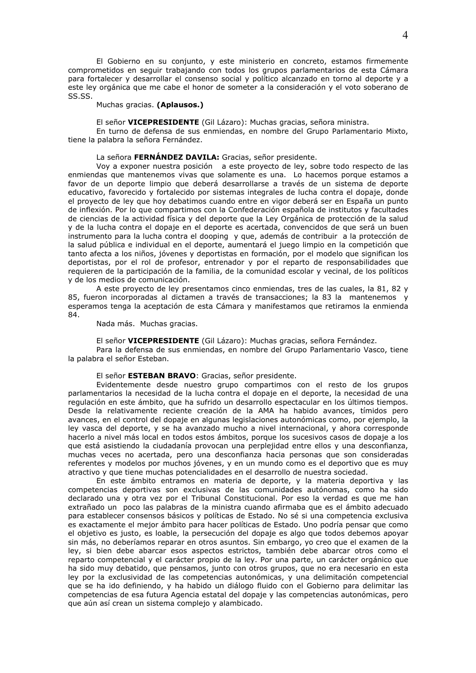El Gobierno en su conjunto, y este ministerio en concreto, estamos firmemente comprometidos en sequir trabajando con todos los grupos parlamentarios de esta Cámara para fortalecer y desarrollar el consenso social y político alcanzado en torno al deporte y a este lev orgánica que me cabe el honor de someter a la consideración y el voto soberano de SS.SS.

Muchas gracias. (Aplausos.)

El señor VICEPRESIDENTE (Gil Lázaro): Muchas gracias, señora ministra.

En turno de defensa de sus enmiendas, en nombre del Grupo Parlamentario Mixto, tiene la palabra la señora Fernández.

La señora FERNÁNDEZ DAVILA: Gracias, señor presidente.

Voy a exponer nuestra posición a este proyecto de ley, sobre todo respecto de las enmiendas que mantenemos vivas que solamente es una. Lo hacemos porque estamos a favor de un deporte limpio que deberá desarrollarse a través de un sistema de deporte educativo, favorecido y fortalecido por sistemas integrales de lucha contra el dopaje, donde el proyecto de ley que hoy debatimos cuando entre en vigor deberá ser en España un punto de inflexión. Por lo que compartimos con la Confederación española de institutos y facultades de ciencias de la actividad física y del deporte que la Ley Orgánica de protección de la salud y de la lucha contra el dopaje en el deporte es acertada, convencidos de que será un buen instrumento para la lucha contra el dooping y que, además de contribuir a la protección de la salud pública e individual en el deporte, aumentará el juego limpio en la competición que tanto afecta a los niños, jóvenes y deportistas en formación, por el modelo que significan los deportistas, por el rol de profesor, entrenador y por el reparto de responsabilidades que requieren de la participación de la familia, de la comunidad escolar y vecinal, de los políticos y de los medios de comunicación.

A este proyecto de ley presentamos cinco enmiendas, tres de las cuales, la 81, 82 y 85, fueron incorporadas al dictamen a través de transacciones; la 83 la mantenemos y esperamos tenga la aceptación de esta Cámara y manifestamos que retiramos la enmienda 84.

Nada más. Muchas gracias.

El señor VICEPRESIDENTE (Gil Lázaro): Muchas gracias, señora Fernández.

Para la defensa de sus enmiendas, en nombre del Grupo Parlamentario Vasco, tiene la palabra el señor Esteban.

#### El señor ESTEBAN BRAVO: Gracias, señor presidente.

Evidentemente desde nuestro grupo compartimos con el resto de los grupos parlamentarios la necesidad de la lucha contra el dopaje en el deporte, la necesidad de una regulación en este ámbito, que ha sufrido un desarrollo espectacular en los últimos tiempos. Desde la relativamente reciente creación de la AMA ha habido avances, tímidos pero avances, en el control del dopaje en algunas legislaciones autonómicas como, por ejemplo, la ley vasca del deporte, y se ha avanzado mucho a nivel internacional, y ahora corresponde hacerlo a nivel más local en todos estos ámbitos, porque los sucesivos casos de dopaje a los que está asistiendo la ciudadanía provocan una perplejidad entre ellos y una desconfianza, muchas veces no acertada, pero una desconfianza hacia personas que son consideradas referentes y modelos por muchos jóvenes, y en un mundo como es el deportivo que es muy atractivo y que tiene muchas potencialidades en el desarrollo de nuestra sociedad.

En este ámbito entramos en materia de deporte, y la materia deportiva y las competencias deportivas son exclusivas de las comunidades autónomas, como ha sido declarado una y otra vez por el Tribunal Constitucional. Por eso la verdad es que me han extrañado un poco las palabras de la ministra cuando afirmaba que es el ámbito adecuado para establecer consensos básicos y políticas de Estado. No sé si una competencia exclusiva es exactamente el mejor ámbito para hacer políticas de Estado. Uno podría pensar que como el objetivo es justo, es loable, la persecución del dopaje es algo que todos debemos apoyar sin más, no deberíamos reparar en otros asuntos. Sin embargo, yo creo que el examen de la ley, si bien debe abarcar esos aspectos estrictos, también debe abarcar otros como el reparto competencial y el carácter propio de la ley. Por una parte, un carácter orgánico que ha sido muy debatido, que pensamos, junto con otros grupos, que no era necesario en esta ley por la exclusividad de las competencias autonómicas, y una delimitación competencial que se ha ido definiendo, y ha habido un diálogo fluido con el Gobierno para delimitar las competencias de esa futura Agencia estatal del dopaje y las competencias autonómicas, pero que aún así crean un sistema complejo y alambicado.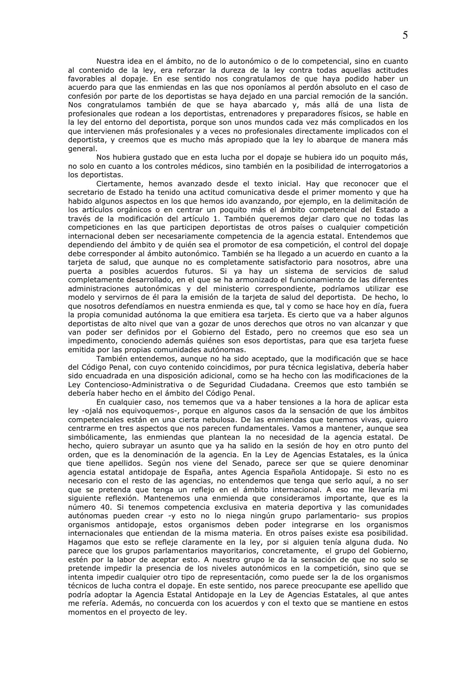Nuestra idea en el ámbito, no de lo autonómico o de lo competencial, sino en cuanto al contenido de la ley, era reforzar la dureza de la ley contra todas aquellas actitudes favorables al dopaje. En ese sentido nos congratulamos de que haya podido haber un acuerdo para que las enmiendas en las que nos oponíamos al perdón absoluto en el caso de confesión por parte de los deportistas se haya dejado en una parcial remoción de la sanción. Nos congratulamos también de que se haya abarcado y, más allá de una lista de profesionales que rodean a los deportistas, entrenadores y preparadores físicos, se hable en la ley del entorno del deportista, porque son unos mundos cada vez más complicados en los que intervienen más profesionales y a veces no profesionales directamente implicados con el deportista, y creemos que es mucho más apropiado que la ley lo abarque de manera más general.

Nos hubiera qustado que en esta lucha por el dopaje se hubiera ido un poquito más, no solo en cuanto a los controles médicos, sino también en la posibilidad de interrogatorios a los deportistas.

Ciertamente, hemos avanzado desde el texto inicial. Hay que reconocer que el secretario de Estado ha tenido una actitud comunicativa desde el primer momento y que ha habido algunos aspectos en los que hemos ido avanzando, por ejemplo, en la delimitación de los artículos orgánicos o en centrar un poquito más el ámbito competencial del Estado a través de la modificación del artículo 1. También queremos dejar claro que no todas las competiciones en las que participen deportistas de otros países o cualquier competición internacional deben ser necesariamente competencia de la agencia estatal. Entendemos que dependiendo del ámbito y de quién sea el promotor de esa competición, el control del dopaje debe corresponder al ámbito autonómico. También se ha llegado a un acuerdo en cuanto a la tarieta de salud, que aunque no es completamente satisfactorio para nosotros, abre una puerta a posibles acuerdos futuros. Si ya hay un sistema de servicios de salud completamente desarrollado, en el que se ha armonizado el funcionamiento de las diferentes administraciones autonómicas y del ministerio correspondiente, podríamos utilizar ese modelo y servirnos de él para la emisión de la tarjeta de salud del deportista. De hecho, lo que nosotros defendíamos en nuestra enmienda es que, tal y como se hace hoy en día, fuera la propia comunidad autónoma la que emitiera esa tarieta. Es cierto que va a haber algunos deportistas de alto nivel que van a gozar de unos derechos que otros no van alcanzar y que van poder ser definidos por el Gobierno del Estado, pero no creemos que eso sea un impedimento, conociendo además quiénes son esos deportistas, para que esa tarieta fuese emitida por las propias comunidades autónomas.

También entendemos, aunque no ha sido aceptado, que la modificación que se hace del Código Penal, con cuyo contenido coincidimos, por pura técnica legislativa, debería haber sido encuadrada en una disposición adicional, como se ha hecho con las modificaciones de la Ley Contencioso-Administrativa o de Seguridad Ciudadana. Creemos que esto también se debería haber hecho en el ámbito del Código Penal.

En cualquier caso, nos tememos que va a haber tensiones a la hora de aplicar esta ley -ojalá nos equivoquemos-, porque en algunos casos da la sensación de que los ámbitos competenciales están en una cierta nebulosa. De las enmiendas que tenemos vivas, quiero centrarme en tres aspectos que nos parecen fundamentales. Vamos a mantener, aunque sea simbólicamente, las enmiendas que plantean la no necesidad de la agencia estatal. De hecho, quiero subrayar un asunto que ya ha salido en la sesión de hoy en otro punto del orden, que es la denominación de la agencia. En la Ley de Agencias Estatales, es la única que tiene apellidos. Según nos viene del Senado, parece ser que se quiere denominar agencia estatal antidopaje de España, antes Agencia Española Antidopaje. Si esto no es necesario con el resto de las agencias, no entendemos que tenga que serlo aquí, a no ser que se pretenda que tenga un reflejo en el ámbito internacional. A eso me llevaría mi siguiente reflexión. Mantenemos una enmienda que consideramos importante, que es la número 40. Si tenemos competencia exclusiva en materia deportiva y las comunidades autónomas pueden crear -y esto no lo niega ningún grupo parlamentario- sus propios organismos antidopaje, estos organismos deben poder integrarse en los organismos internacionales que entiendan de la misma materia. En otros países existe esa posibilidad. Hagamos que esto se refleje claramente en la ley, por si alguien tenía alguna duda. No parece que los grupos parlamentarios mayoritarios, concretamente, el grupo del Gobierno, estén por la labor de aceptar esto. A nuestro grupo le da la sensación de que no solo se pretende impedir la presencia de los niveles autonómicos en la competición, sino que se intenta impedir cualquier otro tipo de representación, como puede ser la de los organismos técnicos de lucha contra el dopaje. En este sentido, nos parece preocupante ese apellido que podría adoptar la Agencia Estatal Antidopaje en la Ley de Agencias Estatales, al que antes me refería. Además, no concuerda con los acuerdos y con el texto que se mantiene en estos momentos en el proyecto de ley.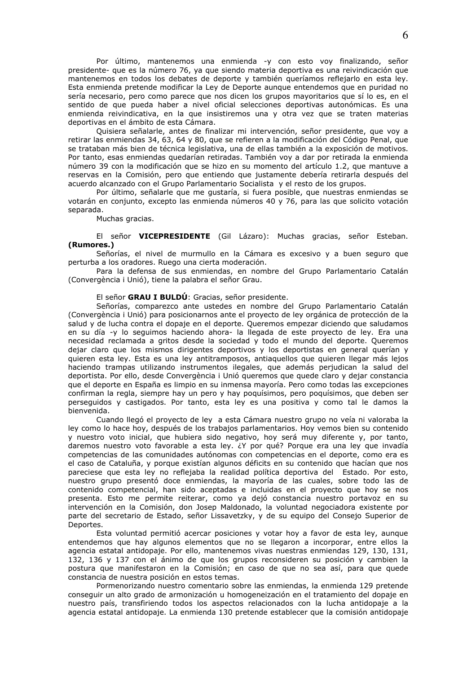Por último, mantenemos una enmienda -y con esto voy finalizando, señor presidente- que es la número 76, ya que siendo materia deportiva es una reivindicación que mantenemos en todos los debates de deporte y también queríamos reflejarlo en esta ley. Esta enmienda pretende modificar la Lev de Deporte aunque entendemos que en puridad no sería necesario, pero como parece que nos dicen los grupos mayoritarios que sí lo es, en el sentido de que pueda haber a nivel oficial selecciones deportivas autonómicas. Es una enmienda reivindicativa, en la que insistiremos una y otra vez que se traten materias deportivas en el ámbito de esta Cámara.

Quisiera señalarle, antes de finalizar mi intervención, señor presidente, que voy a retirar las enmiendas 34, 63, 64 y 80, que se refieren a la modificación del Código Penal, que se trataban más bien de técnica legislativa, una de ellas también a la exposición de motivos. Por tanto, esas enmiendas quedarían retiradas. También voy a dar por retirada la enmienda número 39 con la modificación que se hizo en su momento del artículo 1.2, que mantuve a reservas en la Comisión, pero que entiendo que justamente debería retirarla después del acuerdo alcanzado con el Grupo Parlamentario Socialista y el resto de los grupos.

Por último, señalarle que me qustaría, si fuera posible, que nuestras enmiendas se votarán en conjunto, excepto las enmienda números 40 y 76, para las que solicito votación separada.

Muchas gracias.

El señor VICEPRESIDENTE (Gil Lázaro): Muchas gracias, señor Esteban. (Rumores.)

Señorías, el nivel de murmullo en la Cámara es excesivo y a buen seguro que perturba a los oradores. Ruego una cierta moderación.

Para la defensa de sus enmiendas, en nombre del Grupo Parlamentario Catalán (Convergència i Unió), tiene la palabra el señor Grau.

El señor GRAU I BULDÚ: Gracias, señor presidente.

Señorías, comparezco ante ustedes en nombre del Grupo Parlamentario Catalán (Convergència i Unió) para posicionarnos ante el proyecto de ley orgánica de protección de la salud y de lucha contra el dopaje en el deporte. Queremos empezar diciendo que saludamos en su día -y lo seguimos haciendo ahora- la llegada de este proyecto de ley. Era una necesidad reclamada a gritos desde la sociedad y todo el mundo del deporte. Queremos dejar claro que los mismos dirigentes deportivos y los deportistas en general querían y quieren esta ley. Esta es una ley antitramposos, antiaquellos que quieren llegar más lejos haciendo trampas utilizando instrumentos ilegales, que además perjudican la salud del deportista. Por ello, desde Convergència i Unió gueremos que quede claro y dejar constancia que el deporte en España es limpio en su inmensa mayoría. Pero como todas las excepciones confirman la regla, siempre hay un pero y hay poquísimos, pero poquísimos, que deben ser perseguidos y castigados. Por tanto, esta ley es una positiva y como tal le damos la bienvenida.

Cuando llegó el provecto de lev a esta Cámara nuestro grupo no veía ni valoraba la ley como lo hace hoy, después de los trabajos parlamentarios. Hoy vemos bien su contenido y nuestro voto inicial, que hubiera sido negativo, hoy será muy diferente y, por tanto, daremos nuestro voto favorable a esta ley. ¿Y por qué? Porque era una ley que invadía competencias de las comunidades autónomas con competencias en el deporte, como era es el caso de Cataluña, y porque existían algunos déficits en su contenido que hacían que nos pareciese que esta ley no reflejaba la realidad política deportiva del Estado. Por esto, nuestro grupo presentó doce enmiendas, la mayoría de las cuales, sobre todo las de contenido competencial, han sido aceptadas e incluidas en el proyecto que hoy se nos presenta. Esto me permite reiterar, como ya dejó constancia nuestro portavoz en su intervención en la Comisión, don Josep Maldonado, la voluntad negociadora existente por parte del secretario de Estado, señor Lissavetzky, y de su equipo del Consejo Superior de Deportes.

Esta voluntad permitió acercar posiciones y votar hoy a favor de esta ley, aunque entendemos que hay algunos elementos que no se llegaron a incorporar, entre ellos la agencia estatal antidopaje. Por ello, mantenemos vivas nuestras enmiendas 129, 130, 131, 132, 136 y 137 con el ánimo de que los grupos reconsideren su posición y cambien la postura que manifestaron en la Comisión; en caso de que no sea así, para que quede constancia de nuestra posición en estos temas.

Pormenorizando nuestro comentario sobre las enmiendas, la enmienda 129 pretende conseguir un alto grado de armonización u homogeneización en el tratamiento del dopaje en nuestro país, transfiriendo todos los aspectos relacionados con la lucha antidopaje a la agencia estatal antidopaje. La enmienda 130 pretende establecer que la comisión antidopaje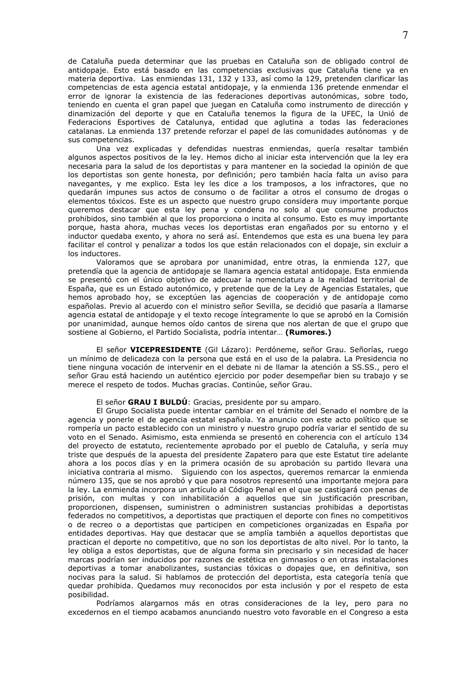de Cataluña pueda determinar que las pruebas en Cataluña son de obligado control de antidopaje. Esto está basado en las competencias exclusivas que Cataluña tiene ya en materia deportiva. Las enmiendas 131, 132 y 133, así como la 129, pretenden clarificar las competencias de esta agencia estatal antidopaie, y la enmienda 136 pretende enmendar el error de ignorar la existencia de las federaciones deportivas autonómicas, sobre todo, teniendo en cuenta el gran papel que juegan en Cataluña como instrumento de dirección y dinamización del deporte y que en Cataluña tenemos la figura de la UFEC, la Unió de Federacions Esportives de Catalunya, entidad que aglutina a todas las federaciones catalanas. La enmienda 137 pretende reforzar el papel de las comunidades autónomas y de sus competencias.

Una vez explicadas y defendidas nuestras enmiendas, quería resaltar también algunos aspectos positivos de la ley. Hemos dicho al iniciar esta intervención que la ley era necesaria para la salud de los deportistas y para mantener en la sociedad la opinión de que los deportistas son gente honesta, por definición; pero también hacía falta un aviso para navegantes, y me explico. Esta ley les dice a los tramposos, a los infractores, que no quedarán impunes sus actos de consumo o de facilitar a otros el consumo de drogas o elementos tóxicos. Este es un aspecto que nuestro grupo considera muy importante porque queremos destacar que esta ley pena y condena no solo al que consume productos prohibidos, sino también al que los proporciona o incita al consumo. Esto es muy importante porque, hasta ahora, muchas veces los deportistas eran engañados por su entorno y el inductor quedaba exento, y ahora no será así. Entendemos que esta es una buena ley para facilitar el control y penalizar a todos los que están relacionados con el dopaje, sin excluir a los inductores.

Valoramos que se aprobara por unanimidad, entre otras, la enmienda 127, que pretendía que la agencia de antidopaje se llamara agencia estatal antidopaje. Esta enmienda se presentó con el único objetivo de adecuar la nomenclatura a la realidad territorial de España, que es un Estado autonómico, y pretende que de la Ley de Agencias Estatales, que hemos aprobado hoy, se exceptúen las agencias de cooperación y de antidopaje como españolas. Previo al acuerdo con el ministro señor Sevilla, se decidió que pasaría a llamarse agencia estatal de antidopaje y el texto recoge íntegramente lo que se aprobó en la Comisión por unanimidad, aunque hemos oído cantos de sirena que nos alertan de que el grupo que sostiene al Gobierno, el Partido Socialista, podría intentar... (Rumores.)

El señor VICEPRESIDENTE (Gil Lázaro): Perdóneme, señor Grau. Señorías, ruego un mínimo de delicadeza con la persona que está en el uso de la palabra. La Presidencia no tiene ninguna vocación de intervenir en el debate ni de llamar la atención a SS.SS., pero el señor Grau está haciendo un auténtico ejercicio por poder desempeñar bien su trabajo y se merece el respeto de todos. Muchas gracias. Continúe, señor Grau.

El señor GRAU I BULDÚ: Gracias, presidente por su amparo.

El Grupo Socialista puede intentar cambiar en el trámite del Senado el nombre de la agencia y ponerle el de agencia estatal española. Ya anuncio con este acto político que se rompería un pacto establecido con un ministro y nuestro grupo podría variar el sentido de su voto en el Senado. Asimismo, esta enmienda se presentó en coherencia con el artículo 134 del proyecto de estatuto, recientemente aprobado por el pueblo de Cataluña, y sería muy triste que después de la apuesta del presidente Zapatero para que este Estatut tire adelante ahora a los pocos días y en la primera ocasión de su aprobación su partido llevara una iniciativa contraria al mismo. Siguiendo con los aspectos, queremos remarcar la enmienda número 135, que se nos aprobó y que para nosotros representó una importante mejora para la ley. La enmienda incorpora un artículo al Código Penal en el que se castigará con penas de prisión, con multas y con inhabilitación a aquellos que sin justificación prescriban, proporcionen, dispensen, suministren o administren sustancias prohibidas a deportistas federados no competitivos, a deportistas que practiquen el deporte con fines no competitivos o de recreo o a deportistas que participen en competiciones organizadas en España por entidades deportivas. Hay que destacar que se amplía también a aquellos deportistas que practican el deporte no competitivo, que no son los deportistas de alto nivel. Por lo tanto, la ley obliga a estos deportistas, que de alguna forma sin precisarlo y sin necesidad de hacer marcas podrían ser inducidos por razones de estética en gimnasios o en otras instalaciones deportivas a tomar anabolizantes, sustancias tóxicas o dopajes que, en definitiva, son nocivas para la salud. Si hablamos de protección del deportista, esta categoría tenía que quedar prohibida. Quedamos muy reconocidos por esta inclusión y por el respeto de esta posibilidad.

Podríamos alargarnos más en otras consideraciones de la ley, pero para no excedernos en el tiempo acabamos anunciando nuestro voto favorable en el Congreso a esta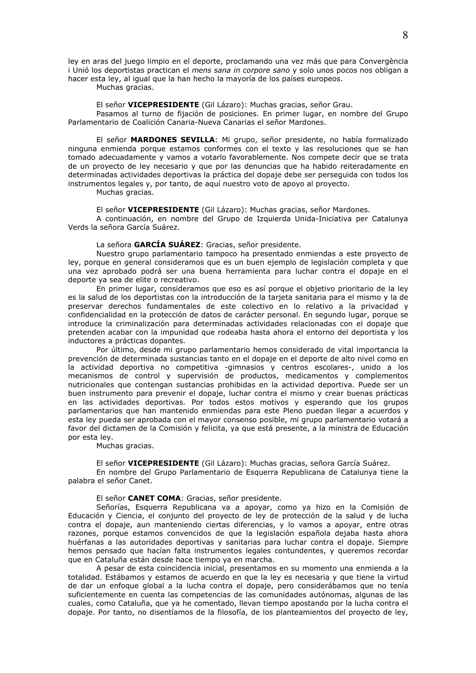ley en aras del juego limpio en el deporte, proclamando una vez más que para Convergència i Unió los deportistas practican el mens sana in corpore sano y solo unos pocos nos obligan a hacer esta ley, al igual que la han hecho la mayoría de los países europeos.

Muchas gracias.

El señor VICEPRESIDENTE (Gil Lázaro): Muchas gracias, señor Grau.

Pasamos al turno de fijación de posiciones. En primer lugar, en nombre del Grupo Parlamentario de Coalición Canaria-Nueva Canarias el señor Mardones.

El señor MARDONES SEVILLA: Mi grupo, señor presidente, no había formalizado ninguna enmienda porque estamos conformes con el texto y las resoluciones que se han tomado adecuadamente y vamos a votarlo favorablemente. Nos compete decir que se trata de un proyecto de ley necesario y que por las denuncias que ha habido reiteradamente en determinadas actividades deportivas la práctica del dopaje debe ser perseguida con todos los instrumentos legales y, por tanto, de aquí nuestro voto de apoyo al proyecto.

Muchas gracias.

El señor VICEPRESIDENTE (Gil Lázaro): Muchas gracias, señor Mardones.

A continuación, en nombre del Grupo de Izquierda Unida-Iniciativa per Catalunya Verds la señora García Suárez.

La señora GARCÍA SUÁREZ: Gracias, señor presidente.

Nuestro grupo parlamentario tampoco ha presentado enmiendas a este provecto de ley, porque en general consideramos que es un buen ejemplo de legislación completa y que una vez aprobado podrá ser una buena herramienta para luchar contra el dopaje en el deporte va sea de elite o recreativo.

En primer lugar, consideramos que eso es así porque el objetivo prioritario de la ley es la salud de los deportistas con la introducción de la tarjeta sanitaria para el mismo y la de preservar derechos fundamentales de este colectivo en lo relativo a la privacidad y confidencialidad en la protección de datos de carácter personal. En segundo lugar, porque se introduce la criminalización para determinadas actividades relacionadas con el dopaje que pretenden acabar con la impunidad que rodeaba hasta ahora el entorno del deportista y los inductores a prácticas dopantes.

Por último, desde mi grupo parlamentario hemos considerado de vital importancia la prevención de determinada sustancias tanto en el dopaje en el deporte de alto nivel como en la actividad deportiva no competitiva -gimnasios y centros escolares-, unido a los<br>mecanismos de control y supervisión de productos, medicamentos y complementos nutricionales que contengan sustancias prohibidas en la actividad deportiva. Puede ser un buen instrumento para prevenir el dopaje, luchar contra el mismo y crear buenas prácticas en las actividades deportivas. Por todos estos motivos y esperando que los grupos parlamentarios que han mantenido enmiendas para este Pleno puedan llegar a acuerdos y esta ley pueda ser aprobada con el mayor consenso posible, mi grupo parlamentario votará a favor del dictamen de la Comisión y felicita, va que está presente, a la ministra de Educación por esta ley.

Muchas gracias.

El señor VICEPRESIDENTE (Gil Lázaro): Muchas gracias, señora García Suárez. En nombre del Grupo Parlamentario de Esquerra Republicana de Catalunya tiene la palabra el señor Canet.

# El señor CANET COMA: Gracias, señor presidente.

Señorías, Esquerra Republicana va a apoyar, como ya hizo en la Comisión de Educación y Ciencia, el conjunto del proyecto de ley de protección de la salud y de lucha contra el dopaje, aun manteniendo ciertas diferencias, y lo vamos a apoyar, entre otras razones, porque estamos convencidos de que la legislación española dejaba hasta ahora huérfanas a las autoridades deportivas y sanitarias para luchar contra el dopaje. Siempre hemos pensado que hacían falta instrumentos legales contundentes, y queremos recordar que en Cataluña están desde hace tiempo ya en marcha.

A pesar de esta coincidencia inicial, presentamos en su momento una enmienda a la totalidad. Estábamos y estamos de acuerdo en que la ley es necesaria y que tiene la virtud de dar un enfoque global a la lucha contra el dopaje, pero considerábamos que no tenía suficientemente en cuenta las competencias de las comunidades autónomas, algunas de las cuales, como Cataluña, que ya he comentado, llevan tiempo apostando por la lucha contra el dopaje. Por tanto, no disentíamos de la filosofía, de los planteamientos del proyecto de ley,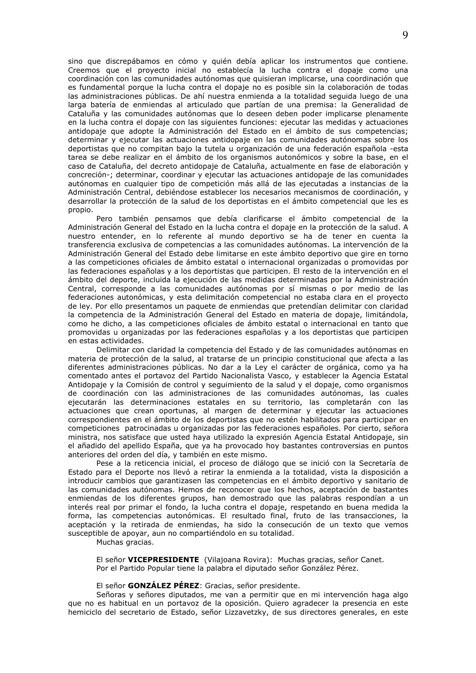sino que discrepábamos en cómo y quién debía aplicar los instrumentos que contiene. Creemos que el proyecto inicial no establecía la lucha contra el dopaje como una coordinación con las comunidades autónomas que quisieran implicarse, una coordinación que es fundamental porque la lucha contra el dopaje no es posible sin la colaboración de todas las administraciones públicas. De ahí nuestra enmienda a la totalidad seguida luego de una larga batería de enmiendas al articulado que partían de una premisa: la Generalidad de Cataluña y las comunidades autónomas que lo deseen deben poder implicarse plenamente en la lucha contra el dopaje con las siguientes funciones: ejecutar las medidas y actuaciones antidopaje que adopte la Administración del Estado en el ámbito de sus competencias; determinar y ejecutar las actuaciones antidopaje en las comunidades autónomas sobre los deportistas que no compitan bajo la tutela u organización de una federación española -esta tarea se debe realizar en el ámbito de los organismos autonómicos y sobre la base, en el caso de Cataluña, del decreto antidopaje de Cataluña, actualmente en fase de elaboración y concreción-; determinar, coordinar y ejecutar las actuaciones antidopaje de las comunidades autónomas en cualquier tipo de competición más allá de las ejecutadas a instancias de la Administración Central, debiéndose establecer los necesarios mecanismos de coordinación, y desarrollar la protección de la salud de los deportistas en el ámbito competencial que les es propio.

Pero también pensamos que debía clarificarse el ámbito competencial de la Administración General del Estado en la lucha contra el dopaje en la protección de la salud. A nuestro entender, en lo referente al mundo deportivo se ha de tener en cuenta la transferencia exclusiva de competencias a las comunidades autónomas. La intervención de la Administración General del Estado debe limitarse en este ámbito deportivo que gire en torno a las competiciones oficiales de ámbito estatal o internacional organizadas o promovidas por las federaciones españolas y a los deportistas que participen. El resto de la intervención en el ámbito del deporte, incluida la ejecución de las medidas determinadas por la Administración Central, corresponde a las comunidades autónomas por sí mismas o por medio de las federaciones autonómicas, y esta delimitación competencial no estaba clara en el proyecto de ley. Por ello presentamos un paquete de enmiendas que pretendían delimitar con claridad la competencia de la Administración General del Estado en materia de dopaje, limitándola, como he dicho, a las competiciones oficiales de ámbito estatal o internacional en tanto que promovidas u organizadas por las federaciones españolas y a los deportistas que participen en estas actividades.

Delimitar con claridad la competencia del Estado y de las comunidades autónomas en materia de protección de la salud, al tratarse de un principio constitucional que afecta a las diferentes administraciones públicas. No dar a la Ley el carácter de orgánica, como ya ha comentado antes el portavoz del Partido Nacionalista Vasco, y establecer la Agencia Estatal Antidopaje y la Comisión de control y sequimiento de la salud y el dopaje, como organismos de coordinación con las administraciones de las comunidades autónomas, las cuales ejecutarán las determinaciones estatales en su territorio, las completarán con las actuaciones que crean oportunas, al margen de determinar y ejecutar las actuaciones correspondientes en el ámbito de los deportistas que no estén habilitados para participar en competiciones patrocinadas u organizadas por las federaciones españoles. Por cierto, señora ministra, nos satisface que usted haya utilizado la expresión Agencia Estatal Antidopaje, sin el añadido del apellido España, que ya ha provocado hoy bastantes controversias en puntos anteriores del orden del día, y también en este mismo.

Pese a la reticencia inicial, el proceso de diálogo que se inició con la Secretaría de Estado para el Deporte nos llevó a retirar la enmienda a la totalidad, vista la disposición a introducir cambios que garantizasen las competencias en el ámbito deportivo y sanitario de las comunidades autónomas. Hemos de reconocer que los hechos, aceptación de bastantes enmiendas de los diferentes grupos, han demostrado que las palabras respondían a un interés real por primar el fondo, la lucha contra el dopaje, respetando en buena medida la forma, las competencias autonómicas. El resultado final, fruto de las transacciones, la aceptación y la retirada de enmiendas, ha sido la consecución de un texto que vemos susceptible de apoyar, aun no compartiéndolo en su totalidad.

Muchas gracias.

El señor VICEPRESIDENTE (Vilajoana Rovira): Muchas gracias, señor Canet. Por el Partido Popular tiene la palabra el diputado señor González Pérez.

#### El señor GONZÁLEZ PÉREZ: Gracias, señor presidente.

Señoras y señores diputados, me van a permitir que en mi intervención haga algo que no es habitual en un portavoz de la oposición. Quiero agradecer la presencia en este hemiciclo del secretario de Estado, señor Lizzavetzky, de sus directores generales, en este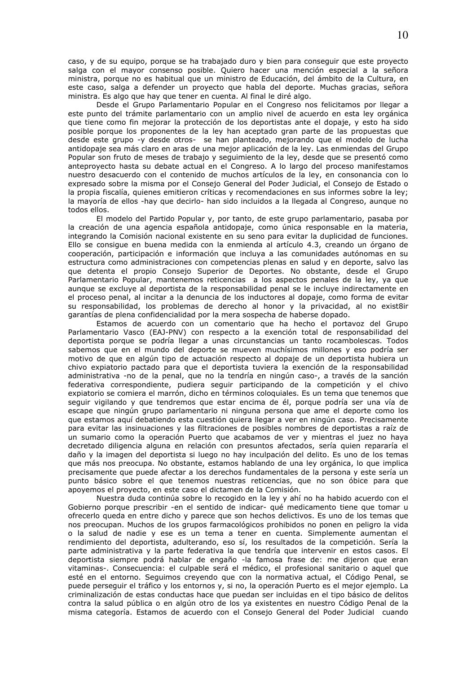caso, y de su equipo, porque se ha trabajado duro y bien para conseguir que este proyecto salga con el mayor consenso posible. Quiero hacer una mención especial a la señora ministra, porque no es habitual que un ministro de Educación, del ámbito de la Cultura, en este caso, salga a defender un provecto que habla del deporte. Muchas gracias, señora ministra. Es algo que hay que tener en cuenta. Al final le diré algo.

Desde el Grupo Parlamentario Popular en el Congreso nos felicitamos por llegar a este punto del trámite parlamentario con un amplio nivel de acuerdo en esta ley orgánica que tiene como fin mejorar la protección de los deportistas ante el dopaje, y esto ha sido posible porque los proponentes de la ley han aceptado gran parte de las propuestas que desde este grupo -y desde otros- se han planteado, mejorando que el modelo de lucha antidopaje sea más claro en aras de una mejor aplicación de la ley. Las enmiendas del Grupo Popular son fruto de meses de trabajo y seguimiento de la ley, desde que se presentó como anteproyecto hasta su debate actual en el Congreso. A lo largo del proceso manifestamos nuestro desacuerdo con el contenido de muchos artículos de la ley, en consonancia con lo expresado sobre la misma por el Consejo General del Poder Judicial, el Consejo de Estado o la propia fiscalía, quienes emitieron críticas y recomendaciones en sus informes sobre la ley; la mayoría de ellos -hay que decirlo- han sido incluidos a la llegada al Congreso, aunque no todos ellos.

El modelo del Partido Popular y, por tanto, de este grupo parlamentario, pasaba por la creación de una agencia española antidopaje, como única responsable en la materia, integrando la Comisión nacional existente en su seno para evitar la duplicidad de funciones. Ello se consique en buena medida con la enmienda al artículo 4.3, creando un órgano de cooperación, participación e información que incluya a las comunidades autónomas en su estructura como administraciones con competencias plenas en salud y en deporte, salvo las que detenta el propio Consejo Superior de Deportes. No obstante, desde el Grupo Parlamentario Popular, mantenemos reticencias a los aspectos penales de la ley, ya que aunque se excluye al deportista de la responsabilidad penal se le incluye indirectamente en el proceso penal, al incitar a la denuncia de los inductores al dopaje, como forma de evitar su responsabilidad, los problemas de derecho al honor y la privacidad, al no exist8ir garantías de plena confidencialidad por la mera sospecha de haberse dopado.

Estamos de acuerdo con un comentario que ha hecho el portavoz del Grupo Parlamentario Vasco (EAJ-PNV) con respecto a la exención total de responsabilidad del deportista porque se podría llegar a unas circunstancias un tanto rocambolescas. Todos sabemos que en el mundo del deporte se mueven muchísimos millones y eso podría ser motivo de que en algún tipo de actuación respecto al dopaje de un deportista hubiera un chivo expiatorio pactado para que el deportista tuviera la exención de la responsabilidad administrativa -no de la penal, que no la tendría en ningún caso-, a través de la sanción federativa correspondiente, pudiera sequir participando de la competición y el chivo expiatorio se comiera el marrón, dicho en términos coloquiales. Es un tema que tenemos que seguir vigilando y que tendremos que estar encima de él, porque podría ser una vía de escape que ningún grupo parlamentario ni ninguna persona que ame el deporte como los que estamos aquí debatiendo esta cuestión quiera llegar a ver en ningún caso. Precisamente para evitar las insinuaciones y las filtraciones de posibles nombres de deportistas a raíz de un sumario como la operación Puerto que acabamos de ver y mientras el juez no haya decretado diligencia alguna en relación con presuntos afectados, sería quien repararía el daño y la imagen del deportista si luego no hay inculpación del delito. Es uno de los temas que más nos preocupa. No obstante, estamos hablando de una ley orgánica, lo que implica precisamente que puede afectar a los derechos fundamentales de la persona y este sería un punto básico sobre el que tenemos nuestras reticencias, que no son óbice para que apoyemos el proyecto, en este caso el dictamen de la Comisión.

Nuestra duda continúa sobre lo recogido en la ley y ahí no ha habido acuerdo con el Gobierno porque prescribir -en el sentido de indicar- qué medicamento tiene que tomar u ofrecerlo queda en entre dicho y parece que son hechos delictivos. Es uno de los temas que nos preocupan. Muchos de los grupos farmacológicos prohibidos no ponen en peligro la vida o la salud de nadie y ese es un tema a tener en cuenta. Simplemente aumentan el rendimiento del deportista, adulterando, eso sí, los resultados de la competición. Sería la parte administrativa y la parte federativa la que tendría que intervenir en estos casos. El deportista siempre podrá hablar de engaño -la famosa frase de: me dijeron que eran vitaminas-. Consecuencia: el culpable será el médico, el profesional sanitario o aquel que esté en el entorno. Seguimos creyendo que con la normativa actual, el Código Penal, se puede perseguir el tráfico y los entornos y, si no, la operación Puerto es el mejor ejemplo. La criminalización de estas conductas hace que puedan ser incluidas en el tipo básico de delitos contra la salud pública o en algún otro de los ya existentes en nuestro Código Penal de la misma categoría. Estamos de acuerdo con el Consejo General del Poder Judicial cuando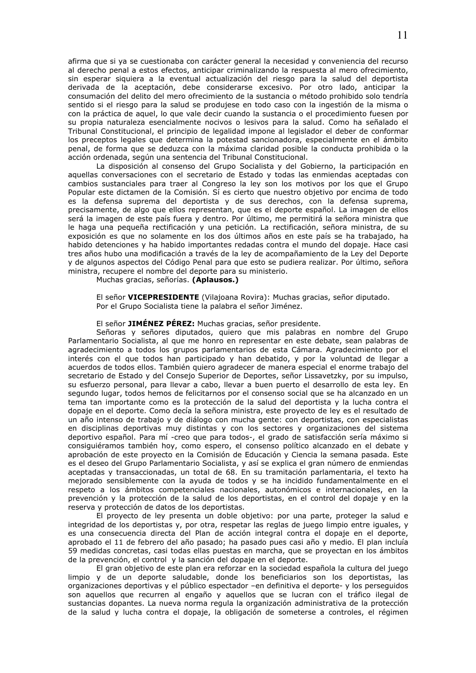afirma que si ya se cuestionaba con carácter general la necesidad y conveniencia del recurso al derecho penal a estos efectos, anticipar criminalizando la respuesta al mero ofrecimiento, sin esperar siquiera a la eventual actualización del riesgo para la salud del deportista derivada de la aceptación, debe considerarse excesivo. Por otro lado, anticipar la consumación del delito del mero ofrecimiento de la sustancia o método prohibido solo tendría sentido si el riesgo para la salud se produjese en todo caso con la ingestión de la misma o con la práctica de aquel, lo que vale decir cuando la sustancia o el procedimiento fuesen por su propia naturaleza esencialmente nocivos o lesivos para la salud. Como ha señalado el Tribunal Constitucional, el principio de legalidad impone al legislador el deber de conformar los preceptos legales que determina la potestad sancionadora, especialmente en el ámbito penal, de forma que se deduzca con la máxima claridad posible la conducta prohibida o la acción ordenada, según una sentencia del Tribunal Constitucional.

La disposición al consenso del Grupo Socialista y del Gobierno, la participación en aquellas conversaciones con el secretario de Estado y todas las enmiendas aceptadas con cambios sustanciales para traer al Congreso la ley son los motivos por los que el Grupo Popular este dictamen de la Comisión. Sí es cierto que nuestro objetivo por encima de todo es la defensa suprema del deportista y de sus derechos, con la defensa suprema, precisamente, de algo que ellos representan, que es el deporte español. La imagen de ellos será la imagen de este país fuera y dentro. Por último, me permitirá la señora ministra que le haga una pequeña rectificación y una petición. La rectificación, señora ministra, de su exposición es que no solamente en los dos últimos años en este país se ha trabajado, ha habido detenciones y ha habido importantes redadas contra el mundo del dopaje. Hace casi tres años hubo una modificación a través de la ley de acompañamiento de la Ley del Deporte y de algunos aspectos del Código Penal para que esto se pudiera realizar. Por último, señora ministra, recupere el nombre del deporte para su ministerio.

Muchas gracias, señorías. (Aplausos.)

El señor VICEPRESIDENTE (Vilajoana Rovira): Muchas gracias, señor diputado. Por el Grupo Socialista tiene la palabra el señor Jiménez.

### El señor JIMÉNEZ PÉREZ: Muchas gracias, señor presidente.

Señoras y señores diputados, quiero que mis palabras en nombre del Grupo Parlamentario Socialista, al que me honro en representar en este debate, sean palabras de agradecimiento a todos los grupos parlamentarios de esta Cámara. Agradecimiento por el interés con el que todos han participado y han debatido, y por la voluntad de llegar a acuerdos de todos ellos. También quiero agradecer de manera especial el enorme trabajo del secretario de Estado y del Consejo Superior de Deportes, señor Lissavetzky, por su impulso, su esfuerzo personal, para llevar a cabo, llevar a buen puerto el desarrollo de esta ley. En segundo lugar, todos hemos de felicitarnos por el consenso social que se ha alcanzado en un tema tan importante como es la protección de la salud del deportista y la lucha contra el dopaje en el deporte. Como decía la señora ministra, este proyecto de ley es el resultado de un año intenso de trabajo y de diálogo con mucha gente: con deportistas, con especialistas en disciplinas deportivas muy distintas y con los sectores y organizaciones del sistema deportivo español. Para mí-creo que para todos-, el grado de satisfacción sería máximo si consiguiéramos también hoy, como espero, el consenso político alcanzado en el debate y aprobación de este proyecto en la Comisión de Educación y Ciencia la semana pasada. Este es el deseo del Grupo Parlamentario Socialista, y así se explica el gran número de enmiendas aceptadas y transaccionadas, un total de 68. En su tramitación parlamentaria, el texto ha mejorado sensiblemente con la ayuda de todos y se ha incidido fundamentalmente en el respeto a los ámbitos competenciales nacionales, autonómicos e internacionales, en la prevención y la protección de la salud de los deportistas, en el control del dopaje y en la reserva y protección de datos de los deportistas.

El proyecto de ley presenta un doble objetivo: por una parte, proteger la salud e integridad de los deportistas y, por otra, respetar las reglas de juego limpio entre iguales, y es una consecuencia directa del Plan de acción integral contra el dopaje en el deporte, aprobado el 11 de febrero del año pasado; ha pasado pues casi año y medio. El plan incluía 59 medidas concretas, casi todas ellas puestas en marcha, que se proyectan en los ámbitos de la prevención, el control y la sanción del dopaje en el deporte.

El gran objetivo de este plan era reforzar en la sociedad española la cultura del juego limpio y de un deporte saludable, donde los beneficiarios son los deportistas, las organizaciones deportivas y el público espectador -en definitiva el deporte- y los perseguidos son aquellos que recurren al engaño y aquellos que se lucran con el tráfico ilegal de sustancias dopantes. La nueva norma regula la organización administrativa de la protección de la salud y lucha contra el dopaje, la obligación de someterse a controles, el régimen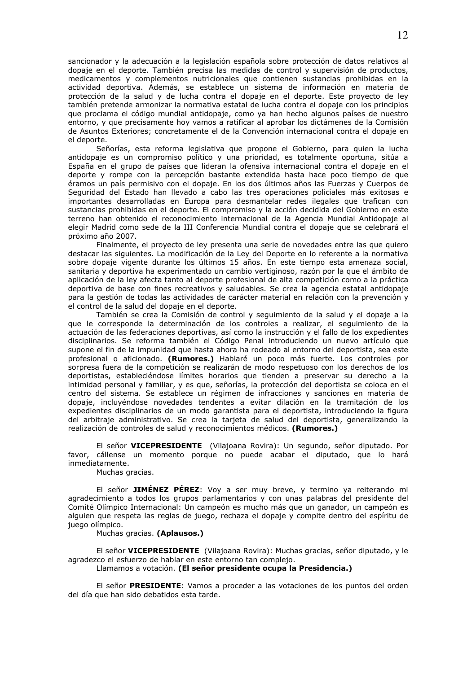sancionador y la adecuación a la legislación española sobre protección de datos relativos al dopaje en el deporte. También precisa las medidas de control y supervisión de productos, medicamentos y complementos nutricionales que contienen sustancias prohibidas en la actividad deportiva. Además, se establece un sistema de información en materia de protección de la salud y de lucha contra el dopaje en el deporte. Este proyecto de ley también pretende armonizar la normativa estatal de lucha contra el dopaje con los principios que proclama el código mundial antidopaje, como ya han hecho algunos países de nuestro entorno, y que precisamente hoy vamos a ratificar al aprobar los dictámenes de la Comisión de Asuntos Exteriores; concretamente el de la Convención internacional contra el dopaje en el deporte.

Señorías, esta reforma legislativa que propone el Gobierno, para quien la lucha antidopaje es un compromiso político y una prioridad, es totalmente oportuna, sitúa a España en el grupo de países que lideran la ofensiva internacional contra el dopaje en el deporte y rompe con la percepción bastante extendida hasta hace poco tiempo de que éramos un país permisivo con el dopaje. En los dos últimos años las Fuerzas y Cuerpos de Seguridad del Estado han llevado a cabo las tres operaciones policiales más exitosas e importantes desarrolladas en Europa para desmantelar redes ilegales que trafican con sustancias prohibidas en el deporte. El compromiso y la acción decidida del Gobierno en este terreno han obtenido el reconocimiento internacional de la Agencia Mundial Antidopaje al elegir Madrid como sede de la III Conferencia Mundial contra el dopaje que se celebrará el próximo año 2007.

Finalmente, el proyecto de ley presenta una serie de novedades entre las que quiero destacar las siguientes. La modificación de la Ley del Deporte en lo referente a la normativa sobre dopaje vigente durante los últimos 15 años. En este tiempo esta amenaza social, sanitaria y deportiva ha experimentado un cambio vertiginoso, razón por la que el ámbito de aplicación de la ley afecta tanto al deporte profesional de alta competición como a la práctica deportiva de base con fines recreativos y saludables. Se crea la agencia estatal antidopaje para la gestión de todas las actividades de carácter material en relación con la prevención y el control de la salud del dopaje en el deporte.

También se crea la Comisión de control y seguimiento de la salud y el dopaje a la que le corresponde la determinación de los controles a realizar, el seguimiento de la actuación de las federaciones deportivas, así como la instrucción y el fallo de los expedientes disciplinarios. Se reforma también el Código Penal introduciendo un nuevo artículo que supone el fin de la impunidad que hasta ahora ha rodeado al entorno del deportista, sea este profesional o aficionado. (Rumores.) Hablaré un poco más fuerte. Los controles por sorpresa fuera de la competición se realizarán de modo respetuoso con los derechos de los deportistas, estableciéndose límites horarios que tienden a preservar su derecho a la intimidad personal y familiar, y es que, señorías, la protección del deportista se coloca en el centro del sistema. Se establece un régimen de infracciones y sanciones en materia de dopaje, incluyéndose novedades tendentes a evitar dilación en la tramitación de los expedientes disciplinarios de un modo garantista para el deportista, introduciendo la figura del arbitraje administrativo. Se crea la tarieta de salud del deportista, generalizando la realización de controles de salud y reconocimientos médicos. (Rumores.)

El señor **VICEPRESIDENTE** (Vilajoana Rovira): Un segundo, señor diputado. Por favor, cállense un momento porque no puede acabar el diputado, que lo hará inmediatamente.

Muchas gracias.

El señor JIMÉNEZ PÉREZ: Voy a ser muy breve, y termino ya reiterando mi agradecimiento a todos los grupos parlamentarios y con unas palabras del presidente del Comité Olímpico Internacional: Un campeón es mucho más que un ganador, un campeón es alquien que respeta las reglas de juego, rechaza el dopaje y compite dentro del espíritu de juego olímpico.

Muchas gracias. (Aplausos.)

El señor VICEPRESIDENTE (Vilajoana Rovira): Muchas gracias, señor diputado, y le agradezco el esfuerzo de hablar en este entorno tan complejo.

Llamamos a votación. (El señor presidente ocupa la Presidencia.)

El señor PRESIDENTE: Vamos a proceder a las votaciones de los puntos del orden del día que han sido debatidos esta tarde.